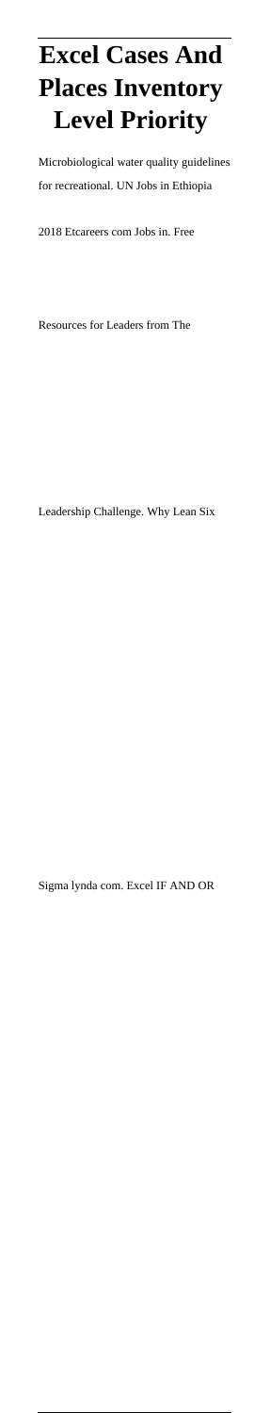## **Excel Cases And Places Inventory Level Priority**

Microbiological water quality guidelines for recreational. UN Jobs in Ethiopia

2018 Etcareers com Jobs in. Free

Resources for Leaders from The

Leadership Challenge. Why Lean Six

Sigma lynda com. Excel IF AND OR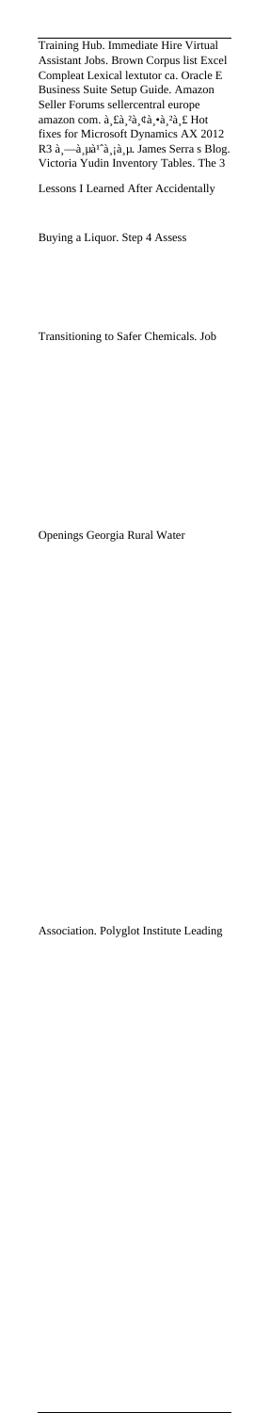Training Hub. Immediate Hire Virtual Assistant Jobs. Brown Corpus list Excel Compleat Lexical lextutor ca. Oracle E Business Suite Setup Guide. Amazon Seller Forums sellercentral europe Sener rounds senere had enough-<br>amazon com.  $\hat{a}_s \hat{a}_s^2 \hat{a}_s \hat{a}_s^2 \hat{a}_s \hat{a}_s^2 \hat{a}_s^2$ fixes for Microsoft Dynamics AX 2012 R3 à,—à,µà<sup>1^</sup>à,¡à,µ. James Serra s Blog. Victoria Yudin Inventory Tables. The 3

Lessons I Learned After Accidentally

Buying a Liquor. Step 4 Assess

Transitioning to Safer Chemicals. Job

Openings Georgia Rural Water

Association. Polyglot Institute Leading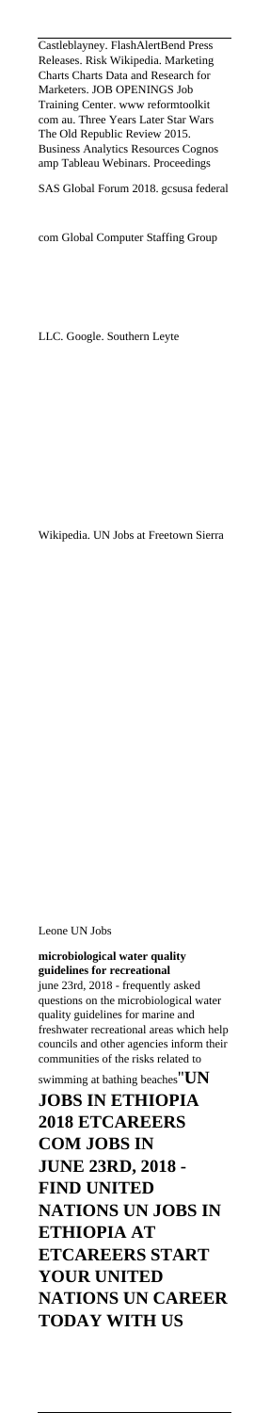quality guidelines for marine and freshwater recreational areas which help councils and other agencies inform their communities of the risks related to swimming at bathing beaches''**UN JOBS IN ETHIOPIA 2018 ETCAREERS COM JOBS IN JUNE 23RD, 2018 - FIND UNITED NATIONS UN JOBS IN ETHIOPIA AT ETCAREERS START YOUR UNITED NATIONS UN CAREER TODAY WITH US**

**microbiological water quality guidelines for recreational** june 23rd, 2018 - frequently asked questions on the microbiological water

Leone UN Jobs

Wikipedia. UN Jobs at Freetown Sierra

LLC. Google. Southern Leyte

com Global Computer Staffing Group

Castleblayney. FlashAlertBend Press Releases. Risk Wikipedia. Marketing Charts Charts Data and Research for Marketers. JOB OPENINGS Job Training Center. www reformtoolkit com au. Three Years Later Star Wars The Old Republic Review 2015. Business Analytics Resources Cognos amp Tableau Webinars. Proceedings SAS Global Forum 2018. gcsusa federal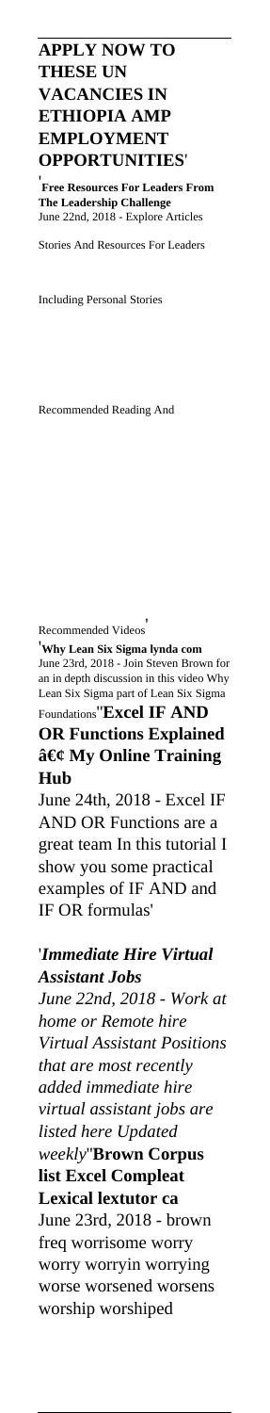**APPLY NOW TO THESE UN VACANCIES IN ETHIOPIA AMP EMPLOYMENT OPPORTUNITIES**'

'**Free Resources For Leaders From The Leadership Challenge** June 22nd, 2018 - Explore Articles

Stories And Resources For Leaders

Including Personal Stories

Recommended Reading And

Recommended Videos'

'**Why Lean Six Sigma lynda com** June 23rd, 2018 - Join Steven Brown for an in depth discussion in this video Why Lean Six Sigma part of Lean Six Sigma Foundations''**Excel IF AND OR Functions Explained** • My Online Training **Hub**

June 24th, 2018 - Excel IF AND OR Functions are a great team In this tutorial I show you some practical examples of IF AND and IF OR formulas'

'*Immediate Hire Virtual Assistant Jobs June 22nd, 2018 - Work at home or Remote hire Virtual Assistant Positions that are most recently added immediate hire virtual assistant jobs are listed here Updated weekly*''**Brown Corpus list Excel Compleat Lexical lextutor ca** June 23rd, 2018 - brown freq worrisome worry worry worryin worrying worse worsened worsens worship worshiped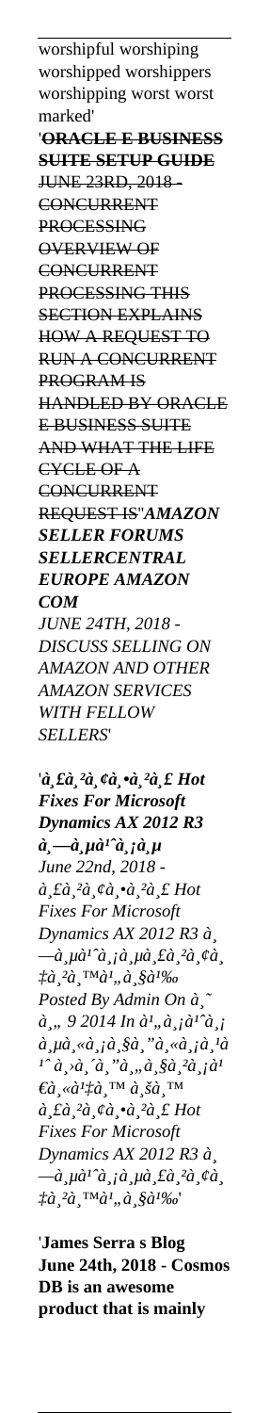worshipful worshiping worshipped worshippers worshipping worst worst marked' '**ORACLE E BUSINESS SUITE SETUP GUIDE** JUNE 23RD, 2018 - **CONCURRENT** PROCESSING OVERVIEW OF **CONCURRENT** PROCESSING THIS SECTION EXPLAINS HOW A REQUEST TO RUN A CONCURRENT PROGRAM IS HANDLED BY ORACLE E BUSINESS SUITE AND WHAT THE LIFE CYCLE OF A CONCURRENT REQUEST IS''*AMAZON SELLER FORUMS SELLERCENTRAL EUROPE AMAZON COM JUNE 24TH, 2018 - DISCUSS SELLING ON AMAZON AND OTHER AMAZON SERVICES WITH FELLOW SELLERS*'

'*à*, £à<sub>,</sub> <sup>2</sup>à<sub>,</sub> ¢à<sub>,</sub> •à<sub>,</sub> <sup>2</sup>à, £ Hot *Fixes For Microsoft Dynamics AX 2012 R3*  $\hat{a}_s - \hat{a}_s \mu \hat{a}^T \hat{a}_s \hat{\mu}$ *June 22nd, 2018 -*  $\hat{a}_s \hat{t} \hat{a}_s^2 \hat{a}_s \hat{c} \hat{a}_s \hat{c} \hat{a}_s^2 \hat{c} \hat{t}$  Hot *Fixes For Microsoft Dynamics AX 2012 R3 à¸* —ีà<sup>1</sup>^มีรà¸<sup>2</sup>ยà¸ *‡à¸²à¸™à¹"ว้ Posted By Admin On ธ*  $\hat{a}_s$ ,, 9 2014 In  $\hat{a}^1$ ,, $\hat{a}_s$   $\hat{a}^1$   $\hat{a}_s$   $\hat{a}_s$  $\hat{a}_s \mu \hat{a}_s \ll \hat{a}_s \hat{a}_s \gg \hat{a}_s \ll \hat{a}_s \hat{a}_s \hat{a}_s$  $\hat{a}$ ,  $\hat{a}$ ,  $\hat{a}$ ,  $\hat{a}$ ,  $\hat{a}$ ,  $\hat{a}$ ,  $\hat{a}$ ,  $\hat{a}$ ,  $\hat{a}$ ,  $\hat{a}$  $\epsilon$ หà½å¸™ บน  $\hat{a}_s \hat{t} \hat{a}_s^2 \hat{a}_s \hat{c} \hat{a}_s \hat{c} \hat{a}_s^2 \hat{c}_s \hat{t}$  Hot *Fixes For Microsoft Dynamics AX 2012 R3 à¸* —à<sub>s</sub>µà<sup>1</sup>^à<sub>s İ</sub> à<sub>s</sub>µà¸ £à¸²à¸ ¢à¸ *‡à*, <sup>2</sup>à, ™à<sup>1</sup>,,à, §à<sup>1</sup>‰'

'**James Serra s Blog June 24th, 2018 - Cosmos DB is an awesome product that is mainly**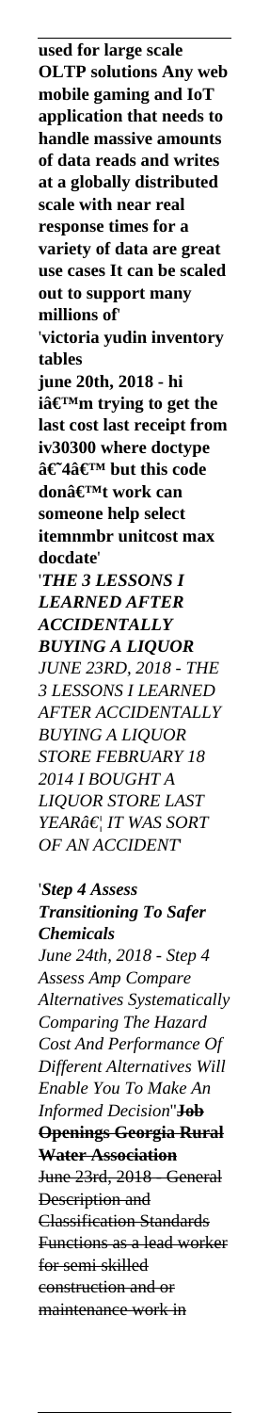**used for large scale OLTP solutions Any web mobile gaming and IoT application that needs to handle massive amounts of data reads and writes at a globally distributed scale with near real response times for a variety of data are great use cases It can be scaled out to support many millions of**' '**victoria yudin inventory tables june 20th, 2018 - hi** iâ€<sup>™</sup>m trying to get the **last cost last receipt from iv30300 where doctype**  $\hat{a} \in \hat{a}$  a final and this code donâ€<sup>™t</sup> work can **someone help select itemnmbr unitcost max docdate**' '*THE 3 LESSONS I LEARNED AFTER ACCIDENTALLY BUYING A LIQUOR JUNE 23RD, 2018 - THE 3 LESSONS I LEARNED AFTER ACCIDENTALLY BUYING A LIQUOR STORE FEBRUARY 18 2014 I BOUGHT A LIQUOR STORE LAST YEAR… IT WAS SORT OF AN ACCIDENT*' '*Step 4 Assess Transitioning To Safer Chemicals June 24th, 2018 - Step 4 Assess Amp Compare Alternatives Systematically Comparing The Hazard Cost And Performance Of Different Alternatives Will Enable You To Make An Informed Decision*''**Job Openings Georgia Rural Water Association** June 23rd, 2018 - General Description and Classification Standards Functions as a lead worker for semi skilled construction and or maintenance work in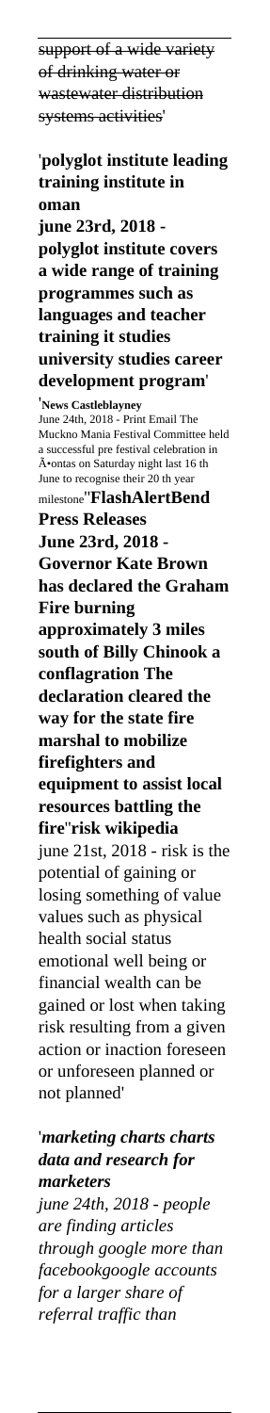support of a wide variety of drinking water or wastewater distribution systems activities' '**polyglot institute leading training institute in oman june 23rd, 2018 polyglot institute covers a wide range of training programmes such as languages and teacher training it studies university studies career development program**' '**News Castleblayney** June 24th, 2018 - Print Email The Muckno Mania Festival Committee held a successful pre festival celebration in A•ontas on Saturday night last 16 th June to recognise their 20 th year milestone''**FlashAlertBend Press Releases June 23rd, 2018 - Governor Kate Brown has declared the Graham Fire burning approximately 3 miles south of Billy Chinook a conflagration The declaration cleared the way for the state fire marshal to mobilize firefighters and equipment to assist local resources battling the fire**''**risk wikipedia** june 21st, 2018 - risk is the potential of gaining or losing something of value values such as physical health social status emotional well being or financial wealth can be gained or lost when taking risk resulting from a given action or inaction foreseen or unforeseen planned or not planned' '*marketing charts charts*

*data and research for marketers june 24th, 2018 - people are finding articles through google more than facebookgoogle accounts for a larger share of referral traffic than*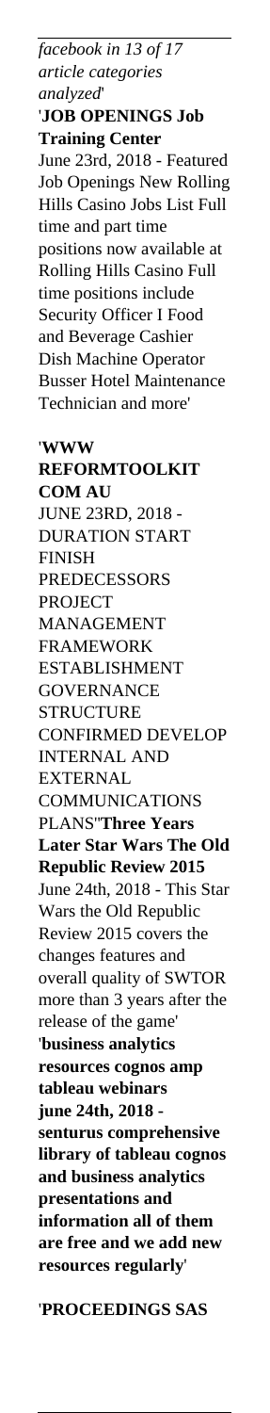*facebook in 13 of 17 article categories analyzed*' '**JOB OPENINGS Job Training Center** June 23rd, 2018 - Featured Job Openings New Rolling Hills Casino Jobs List Full time and part time positions now available at Rolling Hills Casino Full time positions include Security Officer I Food and Beverage Cashier Dish Machine Operator Busser Hotel Maintenance Technician and more' '**WWW REFORMTOOLKIT COM AU** JUNE 23RD, 2018 - DURATION START FINISH **PREDECESSORS** PROJECT MANAGEMENT FRAMEWORK ESTABLISHMENT **GOVERNANCE STRUCTURE** CONFIRMED DEVELOP INTERNAL AND EXTERNAL COMMUNICATIONS PLANS''**Three Years Later Star Wars The Old Republic Review 2015** June 24th, 2018 - This Star Wars the Old Republic Review 2015 covers the changes features and overall quality of SWTOR more than 3 years after the release of the game' '**business analytics resources cognos amp tableau webinars june 24th, 2018 senturus comprehensive library of tableau cognos and business analytics presentations and information all of them are free and we add new resources regularly**'

'**PROCEEDINGS SAS**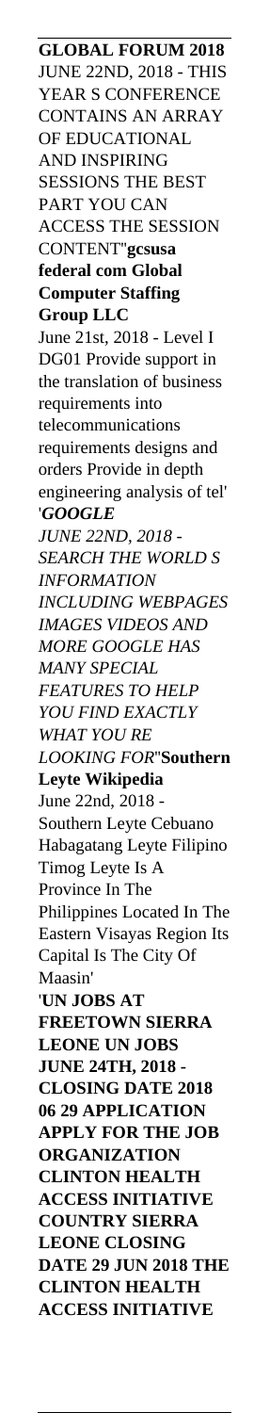**GLOBAL FORUM 2018** JUNE 22ND, 2018 - THIS YEAR S CONFERENCE CONTAINS AN ARRAY OF EDUCATIONAL AND INSPIRING SESSIONS THE BEST PART YOU CAN ACCESS THE SESSION CONTENT''**gcsusa federal com Global Computer Staffing Group LLC** June 21st, 2018 - Level I DG01 Provide support in the translation of business requirements into telecommunications requirements designs and orders Provide in depth engineering analysis of tel' '*GOOGLE JUNE 22ND, 2018 - SEARCH THE WORLD S INFORMATION INCLUDING WEBPAGES IMAGES VIDEOS AND MORE GOOGLE HAS MANY SPECIAL FEATURES TO HELP YOU FIND EXACTLY WHAT YOU RE LOOKING FOR*''**Southern Leyte Wikipedia** June 22nd, 2018 - Southern Leyte Cebuano Habagatang Leyte Filipino Timog Leyte Is A Province In The Philippines Located In The Eastern Visayas Region Its Capital Is The City Of Maasin' '**UN JOBS AT FREETOWN SIERRA LEONE UN JOBS JUNE 24TH, 2018 - CLOSING DATE 2018 06 29 APPLICATION APPLY FOR THE JOB ORGANIZATION CLINTON HEALTH ACCESS INITIATIVE COUNTRY SIERRA LEONE CLOSING DATE 29 JUN 2018 THE CLINTON HEALTH ACCESS INITIATIVE**